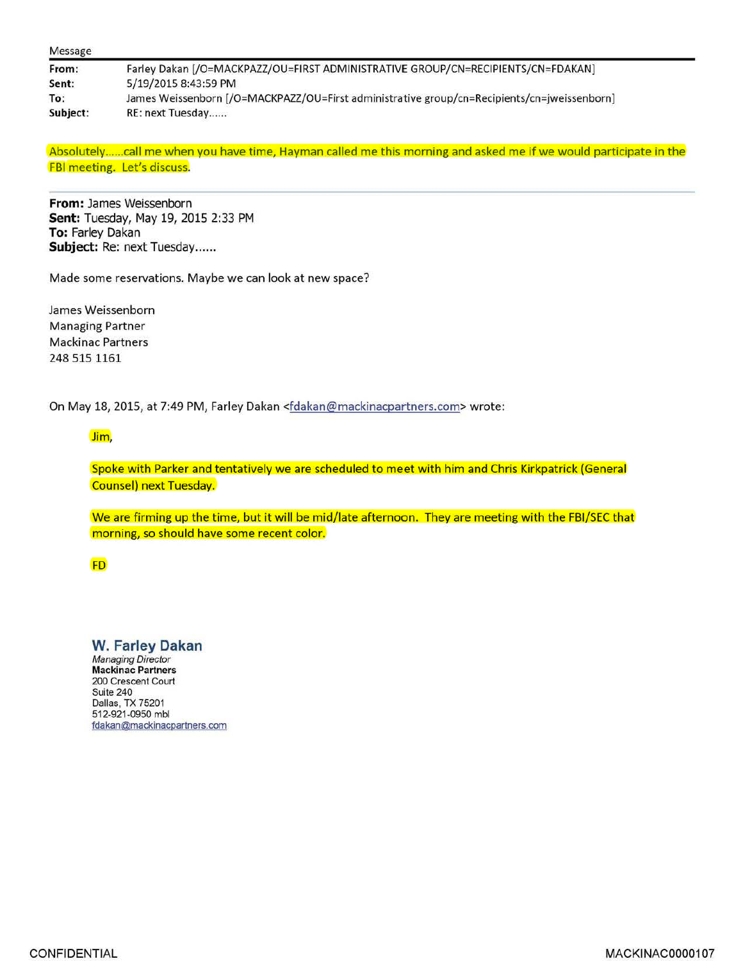| From:    | Farley Dakan [/O=MACKPAZZ/OU=FIRST ADMINISTRATIVE GROUP/CN=RECIPIENTS/CN=FDAKAN]            |
|----------|---------------------------------------------------------------------------------------------|
| Sent:    | 5/19/2015 8:43:59 PM                                                                        |
| To:      | James Weissenborn [/O=MACKPAZZ/OU=First administrative group/cn=Recipients/cn=jweissenborn] |
| Subject: | RE: next Tuesday                                                                            |

Absolutely ...... call me when you have time, Hayman called me this morning and asked me if we would participate in the FBI meeting. Let's discuss.

**From:** James Weissenborn **Sent:** Tuesday, May 19, 2015 2:33 PM **To:** Farley Dakan Subject: Re: next Tuesday......

Made some reservations. Maybe we can look at new space?

James Weissenborn Managing Partner Mackinac Partners 248 515 1161

On May 18, 2015, at 7:49 PM, Farley Dakan <fdakan@mackinacpartners.com> wrote:

## Jim,

Spoke with Parker and tentatively we are scheduled to meet with him and Chris Kirkpatrick (General Counsel) next Tuesday.

We are firming up the time, but it will be mid/late afternoon. They are meeting with the FBI/SEC that morning, so should have some recent color.

FD

**W. Farley Dakan**  Managing Director **Mackinac Partners**  200 Crescent Court Suite 240 Dallas, TX 75201 512-921-0950 mbl fdakan@mackinacpartners.com